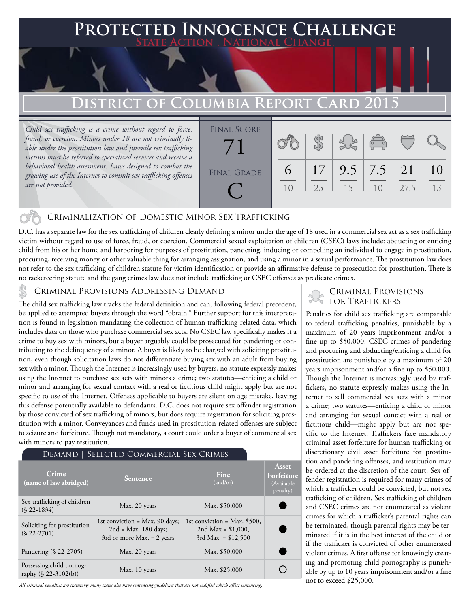## **Protected Innocence Challenge State Action . National Change.**

# **District of Columbia Report Card 2015**

*Child sex trafficking is a crime without regard to force, fraud, or coercion. Minors under 18 are not criminally liable under the prostitution law and juvenile sex trafficking victims must be referred to specialized services and receive a behavioral health assessment. Laws designed to combat the growing use of the Internet to commit sex trafficking offenses are not provided.*



### Criminalization of Domestic Minor Sex Trafficking

D.C. has a separate law for the sex trafficking of children clearly defining a minor under the age of 18 used in a commercial sex act as a sex trafficking victim without regard to use of force, fraud, or coercion. Commercial sexual exploitation of children (CSEC) laws include: abducting or enticing child from his or her home and harboring for purposes of prostitution, pandering, inducing or compelling an individual to engage in prostitution, procuring, receiving money or other valuable thing for arranging assignation, and using a minor in a sexual performance. The prostitution law does not refer to the sex trafficking of children statute for victim identification or provide an affirmative defense to prosecution for prostitution. There is no racketeering statute and the gang crimes law does not include trafficking or CSEC offenses as predicate crimes.

The child sex trafficking law tracks the federal definition and can, following federal precedent, be applied to attempted buyers through the word "obtain." Further support for this interpretation is found in legislation mandating the collection of human trafficking-related data, which includes data on those who purchase commercial sex acts. No CSEC law specifically makes it a crime to buy sex with minors, but a buyer arguably could be prosecuted for pandering or contributing to the delinquency of a minor. A buyer is likely to be charged with soliciting prostitution, even though solicitation laws do not differentiate buying sex with an adult from buying sex with a minor. Though the Internet is increasingly used by buyers, no statute expressly makes using the Internet to purchase sex acts with minors a crime; two statutes—enticing a child or minor and arranging for sexual contact with a real or fictitious child might apply but are not specific to use of the Internet. Offenses applicable to buyers are silent on age mistake, leaving this defense potentially available to defendants. D.C. does not require sex offender registration by those convicted of sex trafficking of minors, but does require registration for soliciting prostitution with a minor. Conveyances and funds used in prostitution-related offenses are subject to seizure and forfeiture. Though not mandatory, a court could order a buyer of commercial sex with minors to pay restitution.

#### Demand | Selected Commercial Sex Crimes

|                                                  |                                                                                                   |                                                                                 | Asset                                |
|--------------------------------------------------|---------------------------------------------------------------------------------------------------|---------------------------------------------------------------------------------|--------------------------------------|
| Crime<br>(name of law abridged)                  | <b>Sentence</b>                                                                                   | Fine<br>(and/or)                                                                | Forfeiture<br>(Available<br>penalty) |
| Sex trafficking of children<br>$(S$ 22-1834)     | Max. 20 years                                                                                     | Max. \$50,000                                                                   |                                      |
| Soliciting for prostitution<br>$(S$ 22-2701)     | 1st conviction = $Max. 90 \text{ days}$ ;<br>$2nd = Max. 180 days;$<br>3rd or more Max. = 2 years | 1st conviction = Max. $$500$ ,<br>2nd Max = $$1,000$ ,<br>$3rd$ Max. = \$12,500 |                                      |
| Pandering (§ 22-2705)                            | Max. 20 years                                                                                     | Max. \$50,000                                                                   |                                      |
| Possessing child pornog-<br>raphy (§ 22-3102(b)) | Max. 10 years                                                                                     | Max. \$25,000                                                                   |                                      |

*All criminal penalties are statutory; many states also have sentencing guidelines that are not codified which affect sentencing.* 

# CRIMINAL PROVISIONS ADDRESSING DEMAND<br>The child sex trafficking law tracks the federal definition and can, following federal precedent.

Penalties for child sex trafficking are comparable to federal trafficking penalties, punishable by a maximum of 20 years imprisonment and/or a fine up to \$50,000. CSEC crimes of pandering and procuring and abducting/enticing a child for prostitution are punishable by a maximum of 20 years imprisonment and/or a fine up to \$50,000. Though the Internet is increasingly used by traffickers, no statute expressly makes using the Internet to sell commercial sex acts with a minor a crime; two statutes—enticing a child or minor and arranging for sexual contact with a real or fictitious child—might apply but are not specific to the Internet. Traffickers face mandatory criminal asset forfeiture for human trafficking or discretionary civil asset forfeiture for prostitution and pandering offenses, and restitution may be ordered at the discretion of the court. Sex offender registration is required for many crimes of which a trafficker could be convicted, but not sex trafficking of children. Sex trafficking of children and CSEC crimes are not enumerated as violent crimes for which a trafficker's parental rights can be terminated, though parental rights may be terminated if it is in the best interest of the child or if the trafficker is convicted of other enumerated violent crimes. A first offense for knowingly creating and promoting child pornography is punishable by up to 10 years imprisonment and/or a fine not to exceed \$25,000.